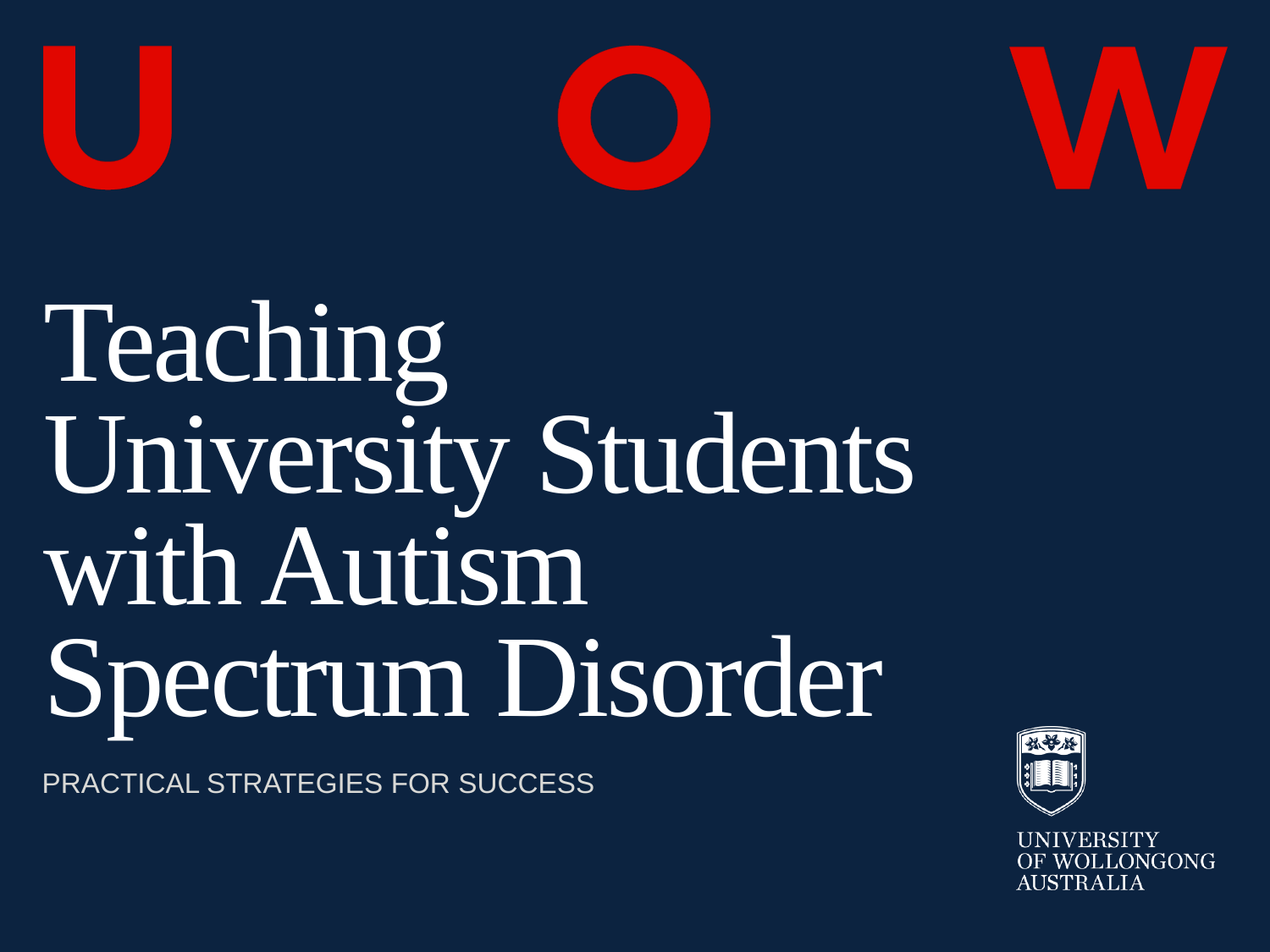



# Teaching University Students with Autism Spectrum Disorder

PRACTICAL STRATEGIES FOR SUCCESS



**UNIVERSITY** LONGONG AUSTRALIA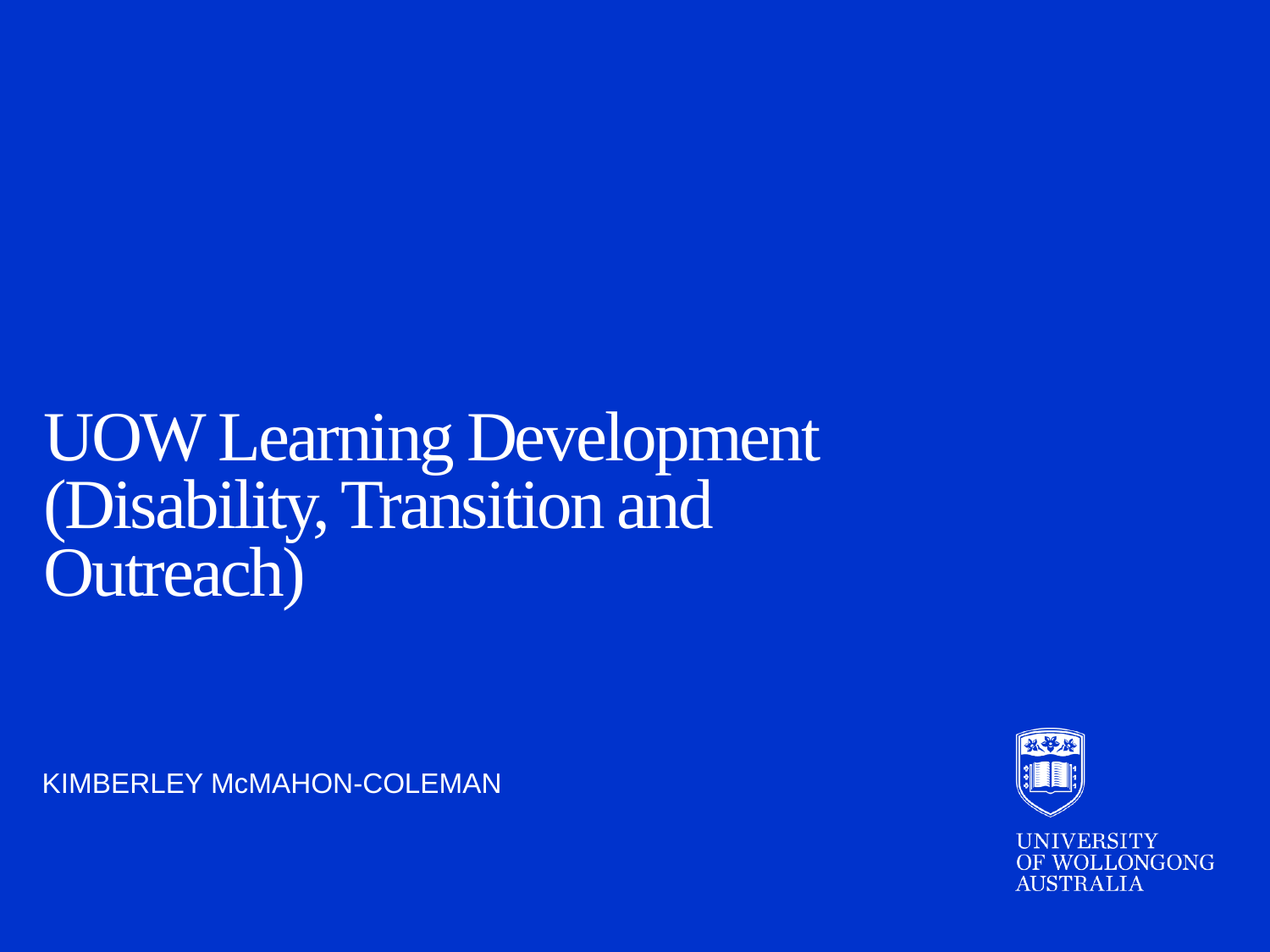### UOW Learning Development (Disability, Transition and Outreach)

KIMBERLEY McMAHON-COLEMAN



**UNIVERSITY OF WOLLONGONG AUSTRALIA**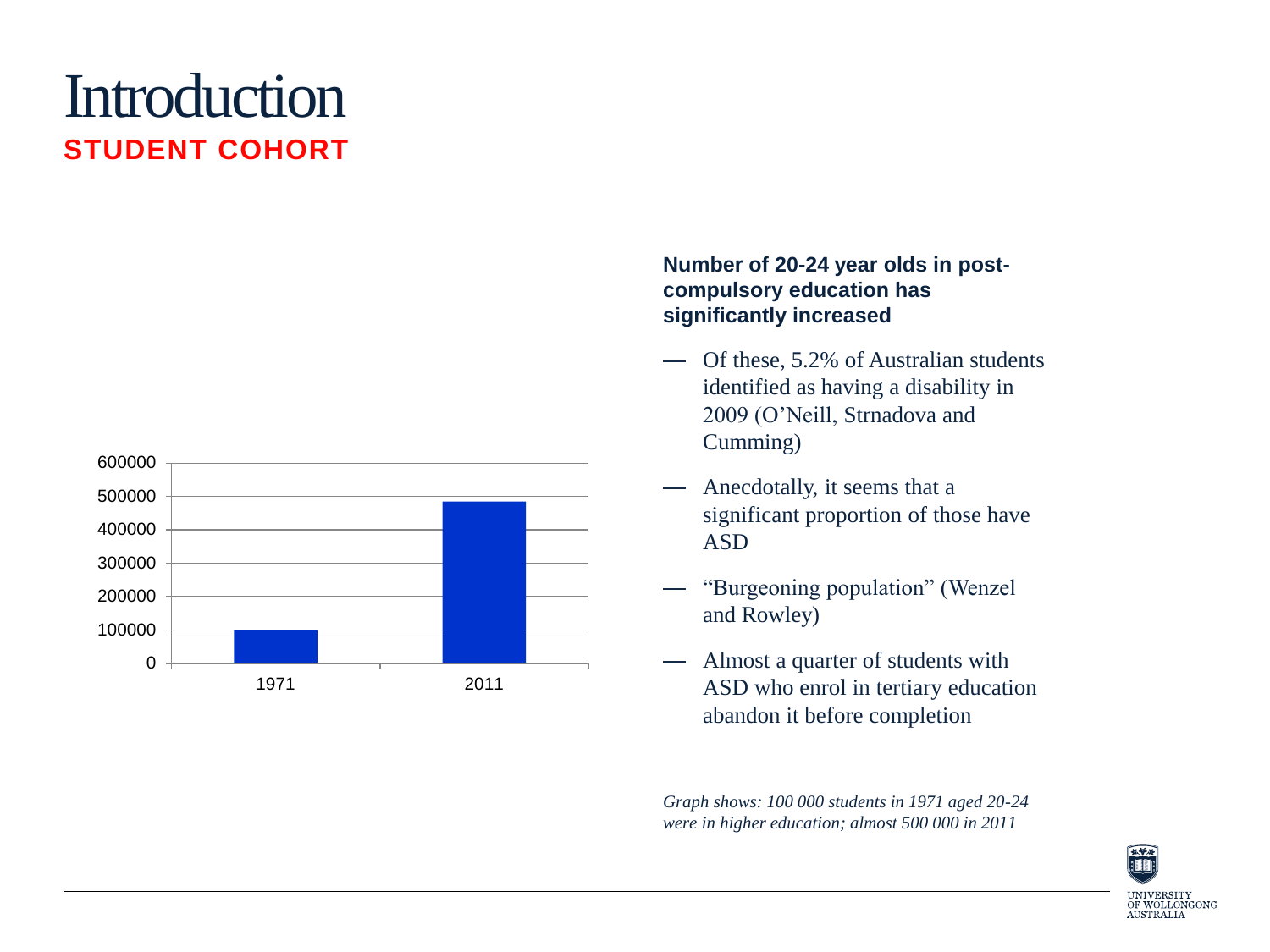### **Introduction STUDENT COHORT**



#### **Number of 20-24 year olds in postcompulsory education has significantly increased**

- Of these, 5.2% of Australian students identified as having a disability in 2009 (O'Neill, Strnadova and Cumming)
- Anecdotally, it seems that a significant proportion of those have ASD
- "Burgeoning population" (Wenzel and Rowley)
- Almost a quarter of students with ASD who enrol in tertiary education abandon it before completion

*Graph shows: 100 000 students in 1971 aged 20-24 were in higher education; almost 500 000 in 2011*

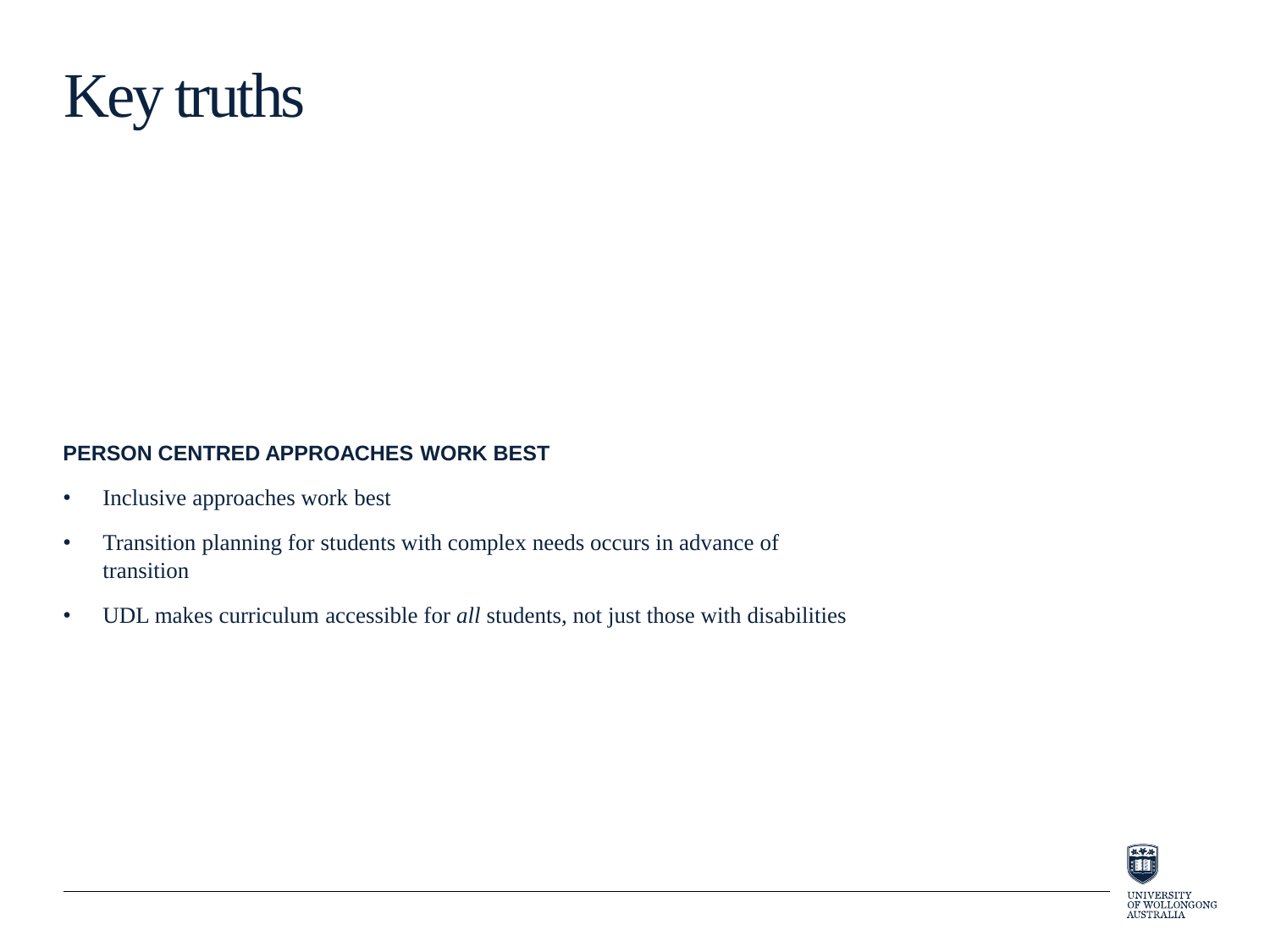

#### **PERSON CENTRED APPROACHES WORK BEST**

- Inclusive approaches work best
- Transition planning for students with complex needs occurs in advance of transition
- UDL makes curriculum accessible for *all* students, not just those with disabilities

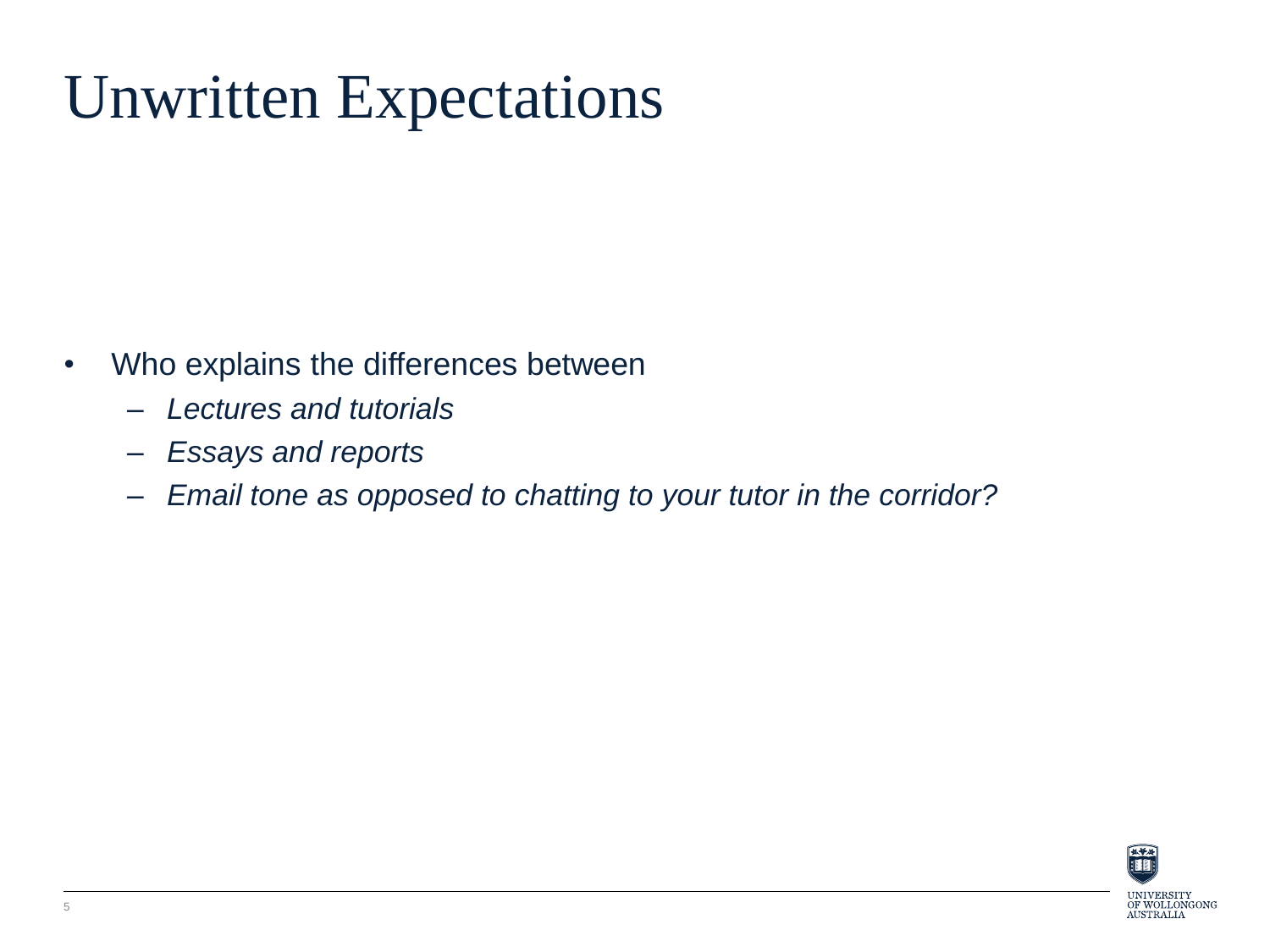### Unwritten Expectations

- Who explains the differences between
	- *Lectures and tutorials*
	- *Essays and reports*
	- *Email tone as opposed to chatting to your tutor in the corridor?*

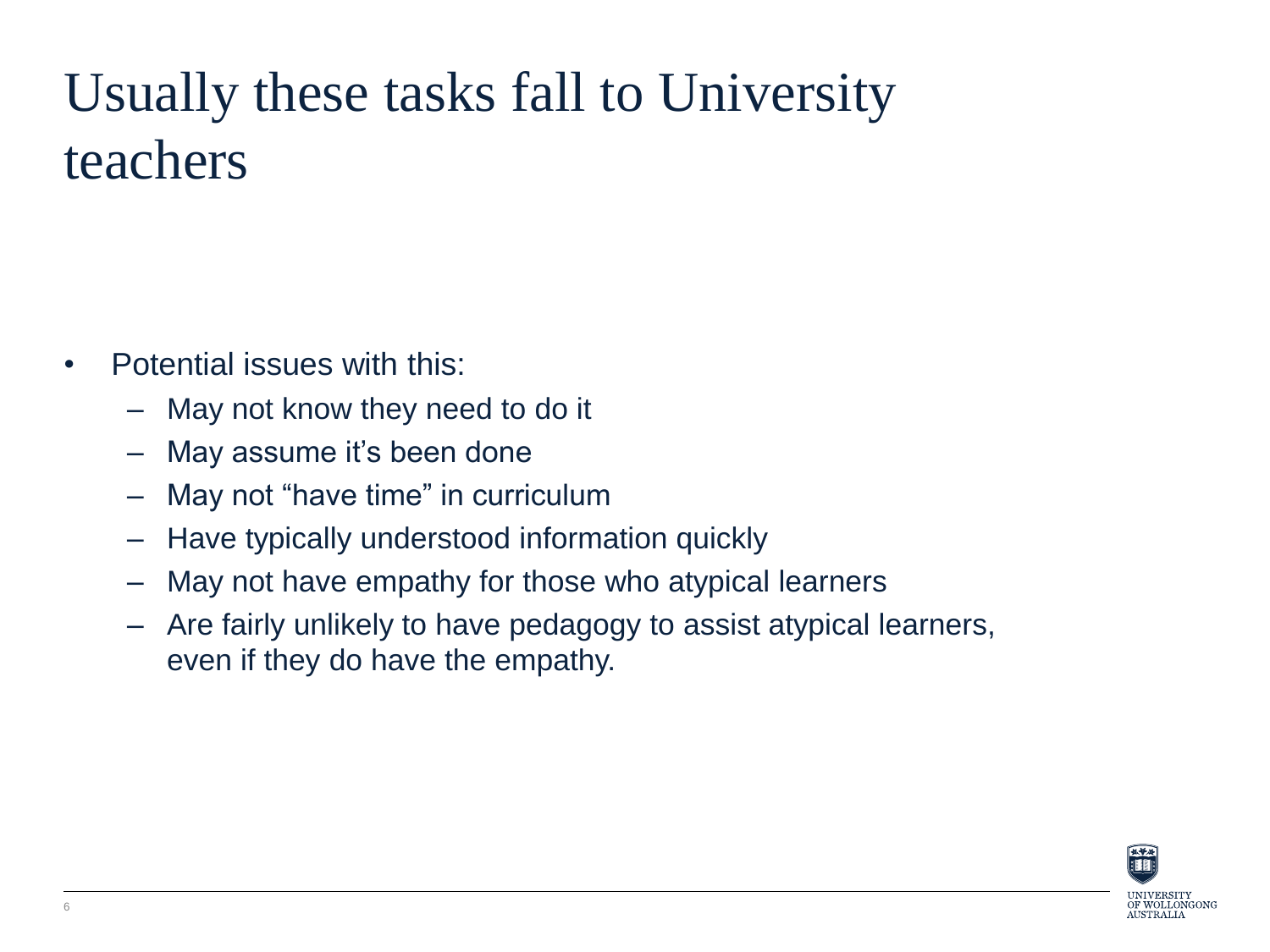### Usually these tasks fall to University teachers

- Potential issues with this:
	- May not know they need to do it
	- May assume it's been done
	- May not "have time" in curriculum
	- Have typically understood information quickly
	- May not have empathy for those who atypical learners
	- Are fairly unlikely to have pedagogy to assist atypical learners, even if they do have the empathy.

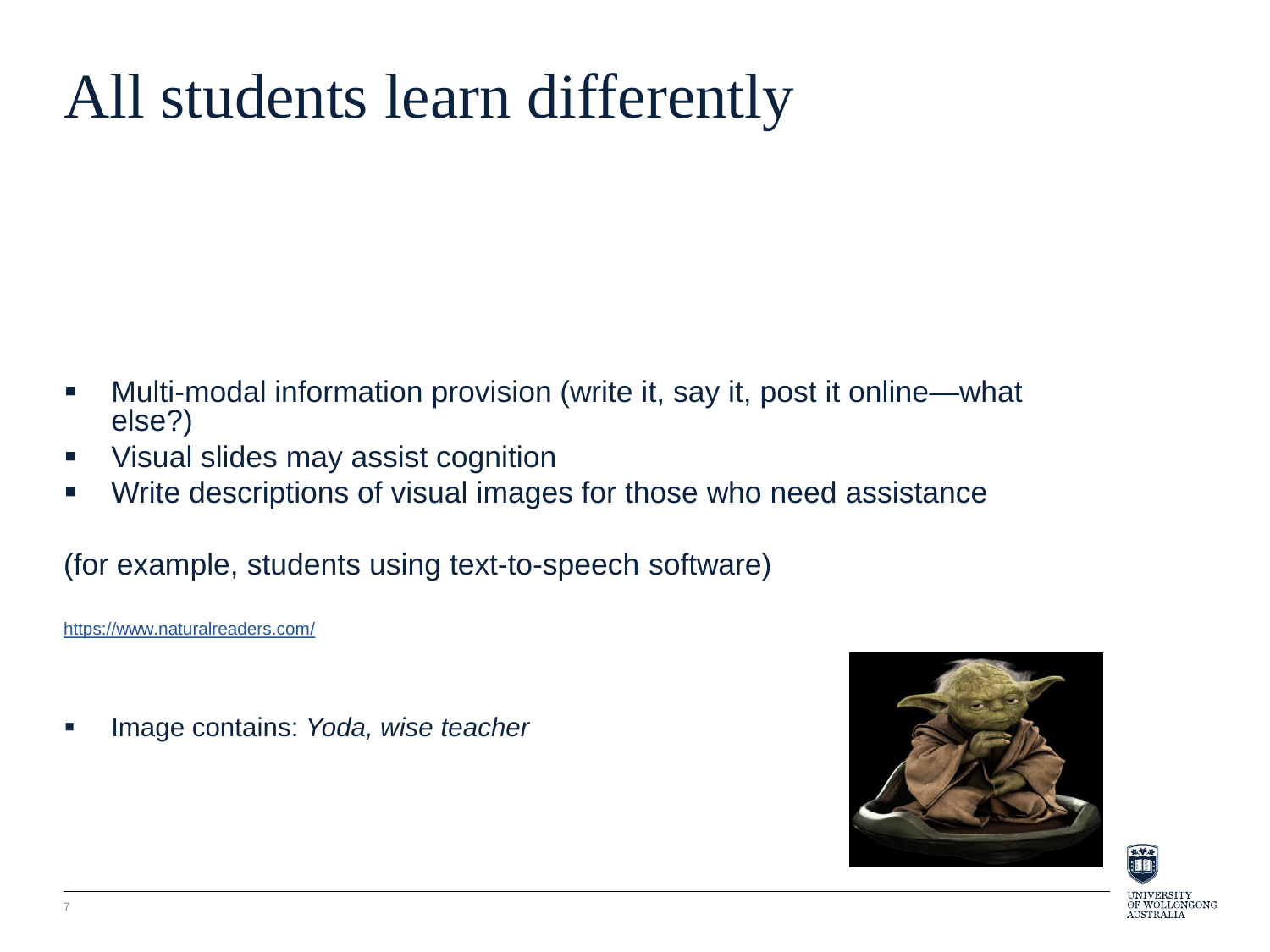### All students learn differently

- Multi-modal information provision (write it, say it, post it online—what else?)
- Visual slides may assist cognition
- Write descriptions of visual images for those who need assistance

(for example, students using text-to-speech software)

<https://www.naturalreaders.com/>

Image contains: *Yoda, wise teacher*



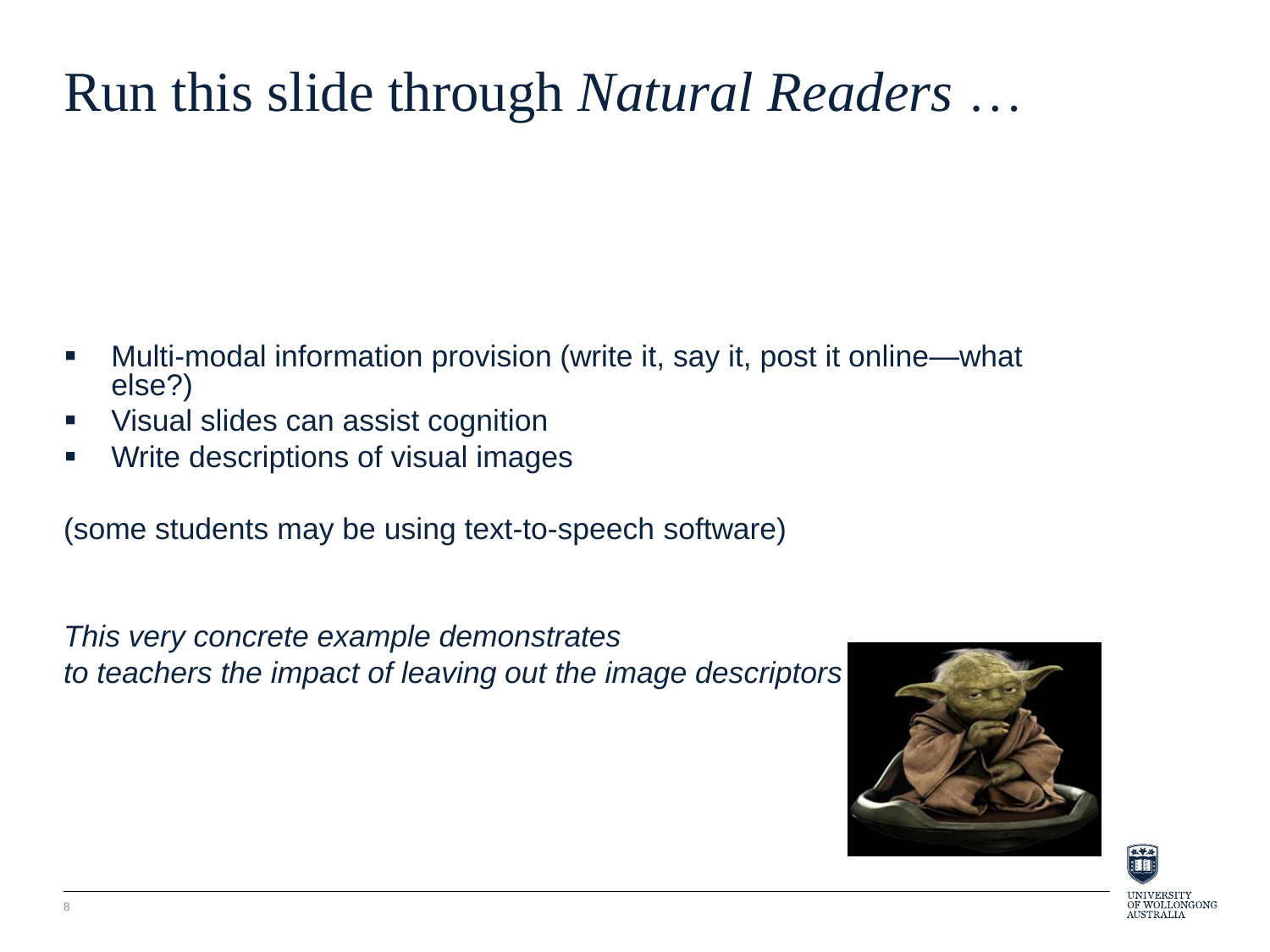### Run this slide through *Natural Readers* …

- Multi-modal information provision (write it, say it, post it online—what else?)
- Visual slides can assist cognition
- **Write descriptions of visual images**

(some students may be using text-to-speech software)

*This very concrete example demonstrates to teachers the impact of leaving out the image descriptors*



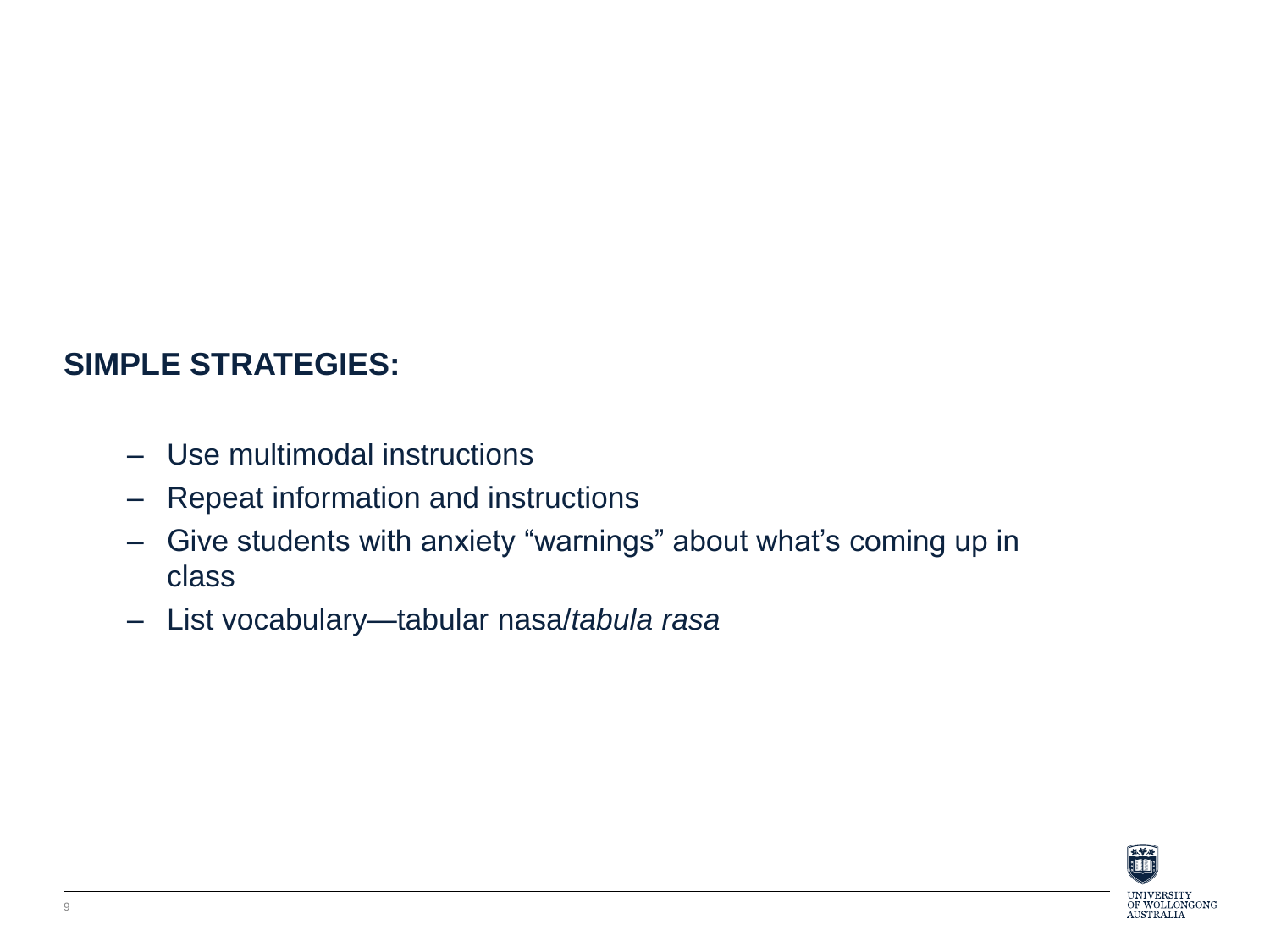#### **SIMPLE STRATEGIES:**

- Use multimodal instructions
- Repeat information and instructions
- Give students with anxiety "warnings" about what's coming up in class
- List vocabulary—tabular nasa/*tabula rasa*

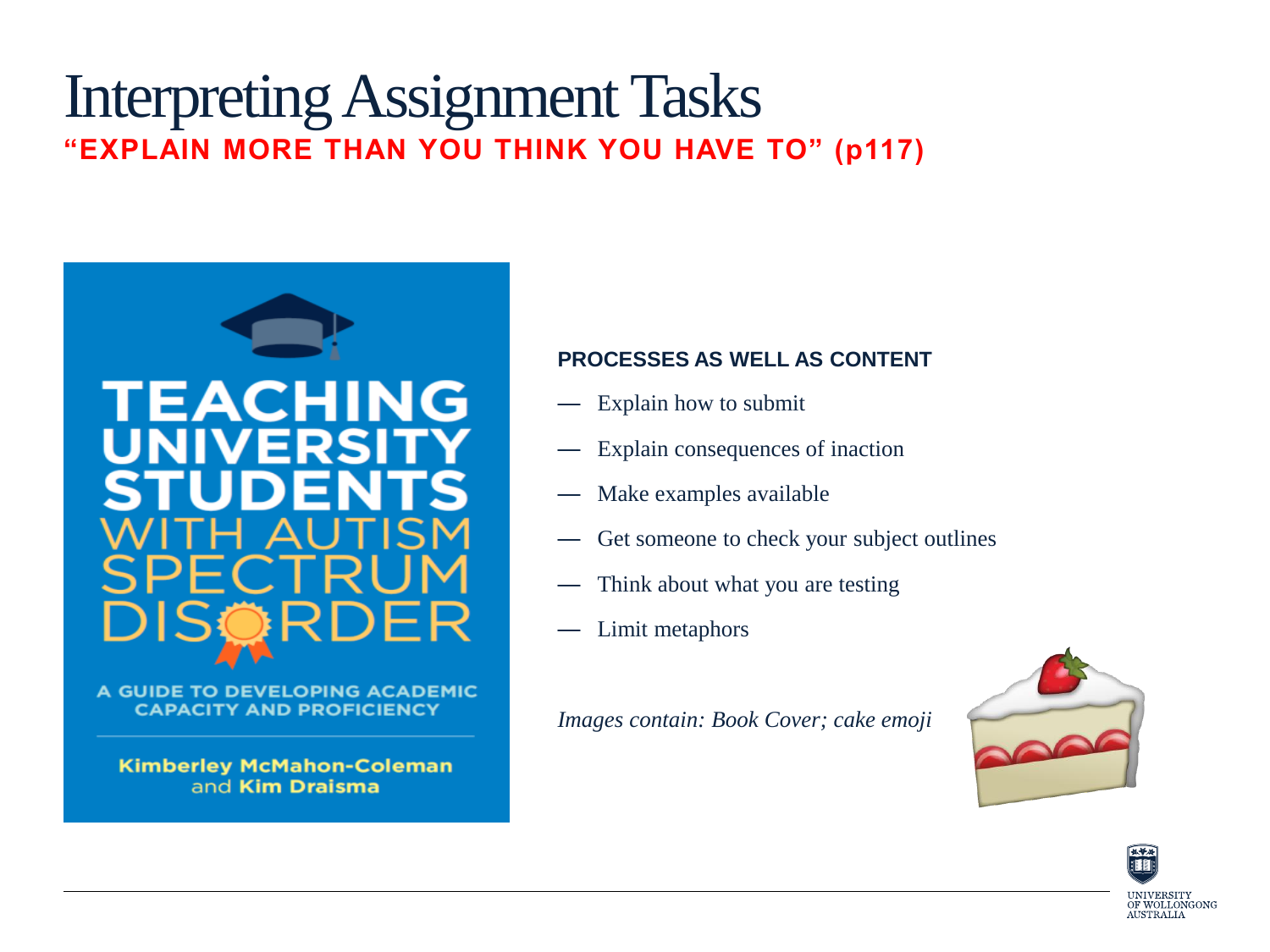### Interpreting Assignment Tasks **"EXPLAIN MORE THAN YOU THINK YOU HAVE TO" (p117)**



A GUIDE TO DEVELOPING ACADEMIC **CAPACITY AND PROFICIENCY** 

**Kimberley McMahon-Coleman** and Kim Draisma

#### **PROCESSES AS WELL AS CONTENT**

- Explain how to submit
- Explain consequences of inaction
- Make examples available
- Get someone to check your subject outlines
- Think about what you are testing
- Limit metaphors

*Images contain: Book Cover; cake emoji*



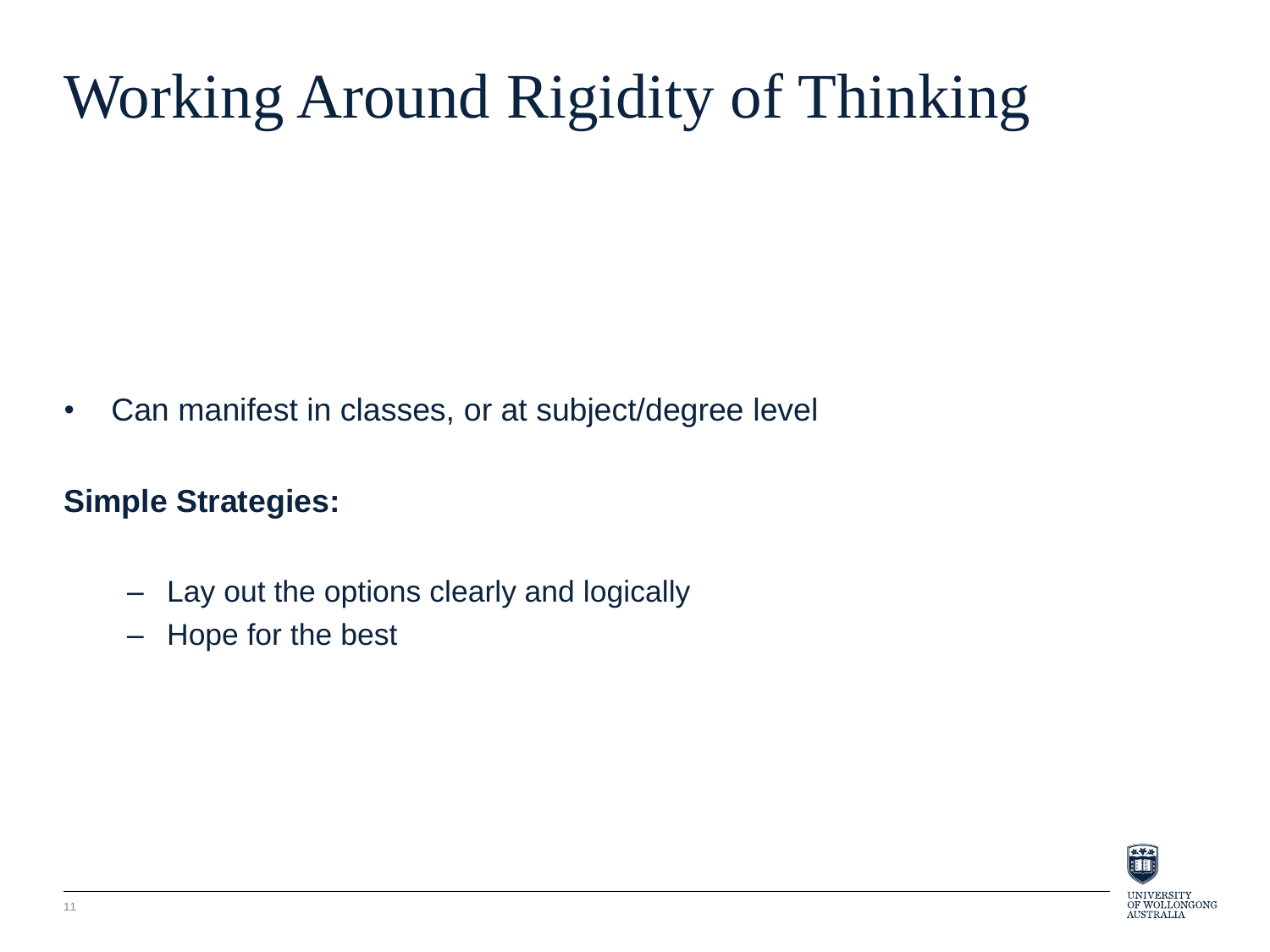# Working Around Rigidity of Thinking

• Can manifest in classes, or at subject/degree level

### **Simple Strategies:**

- Lay out the options clearly and logically
- Hope for the best

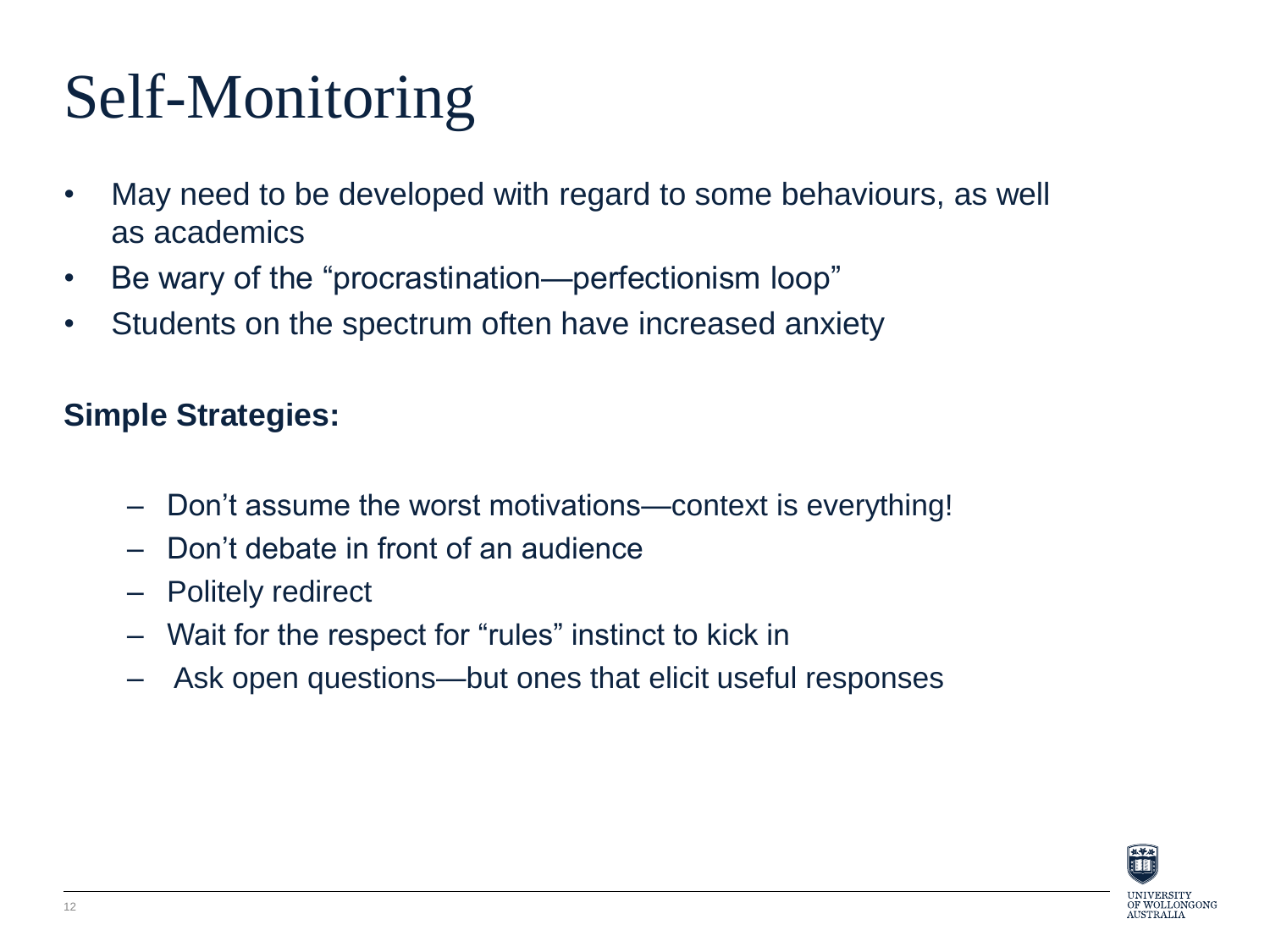## Self-Monitoring

- May need to be developed with regard to some behaviours, as well as academics
- Be wary of the "procrastination—perfectionism loop"
- Students on the spectrum often have increased anxiety

### **Simple Strategies:**

- Don't assume the worst motivations—context is everything!
- Don't debate in front of an audience
- Politely redirect
- Wait for the respect for "rules" instinct to kick in
- Ask open questions—but ones that elicit useful responses

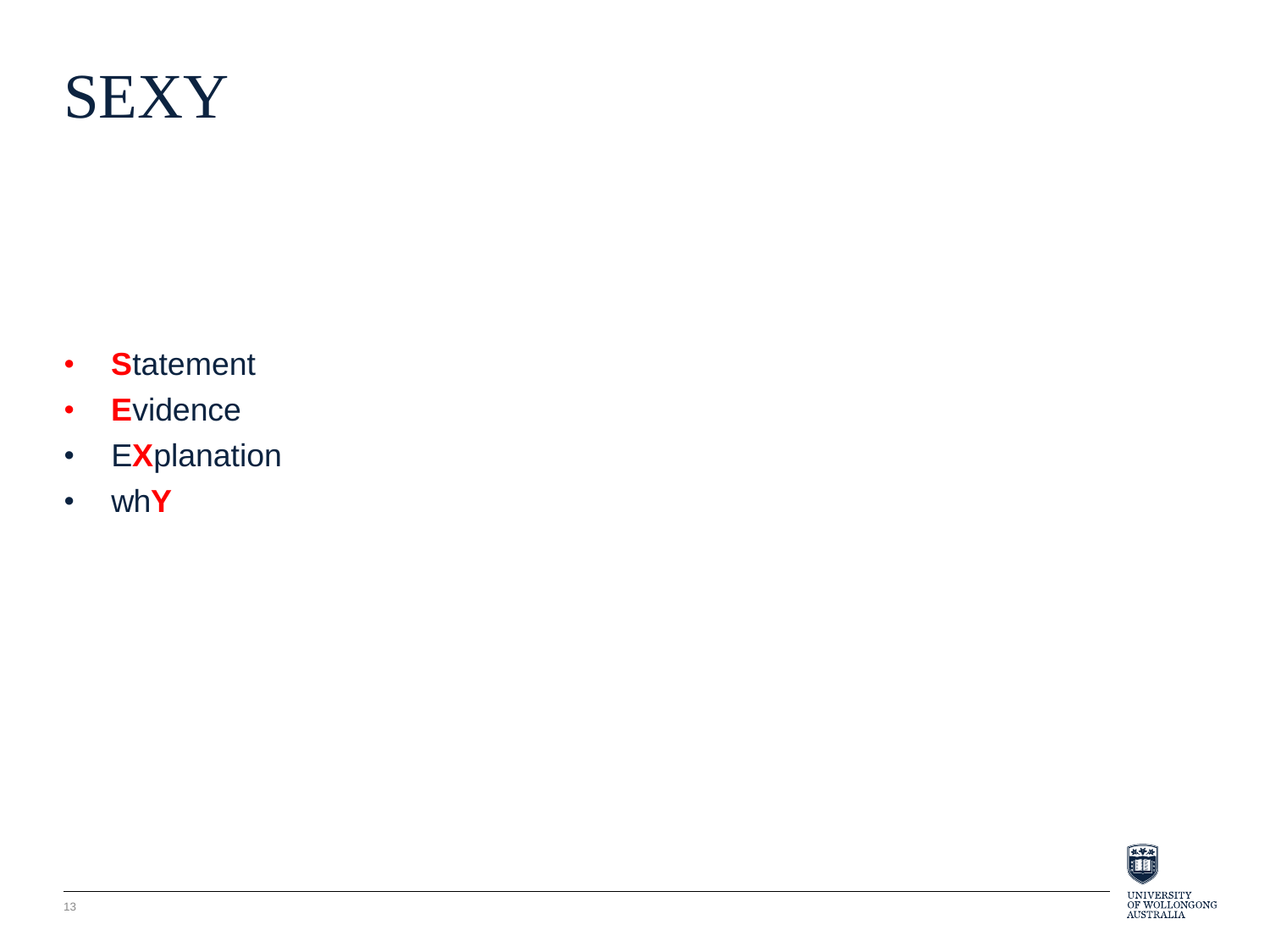

- **S**tatement
- **E**vidence
- E**X**planation
- wh**Y**

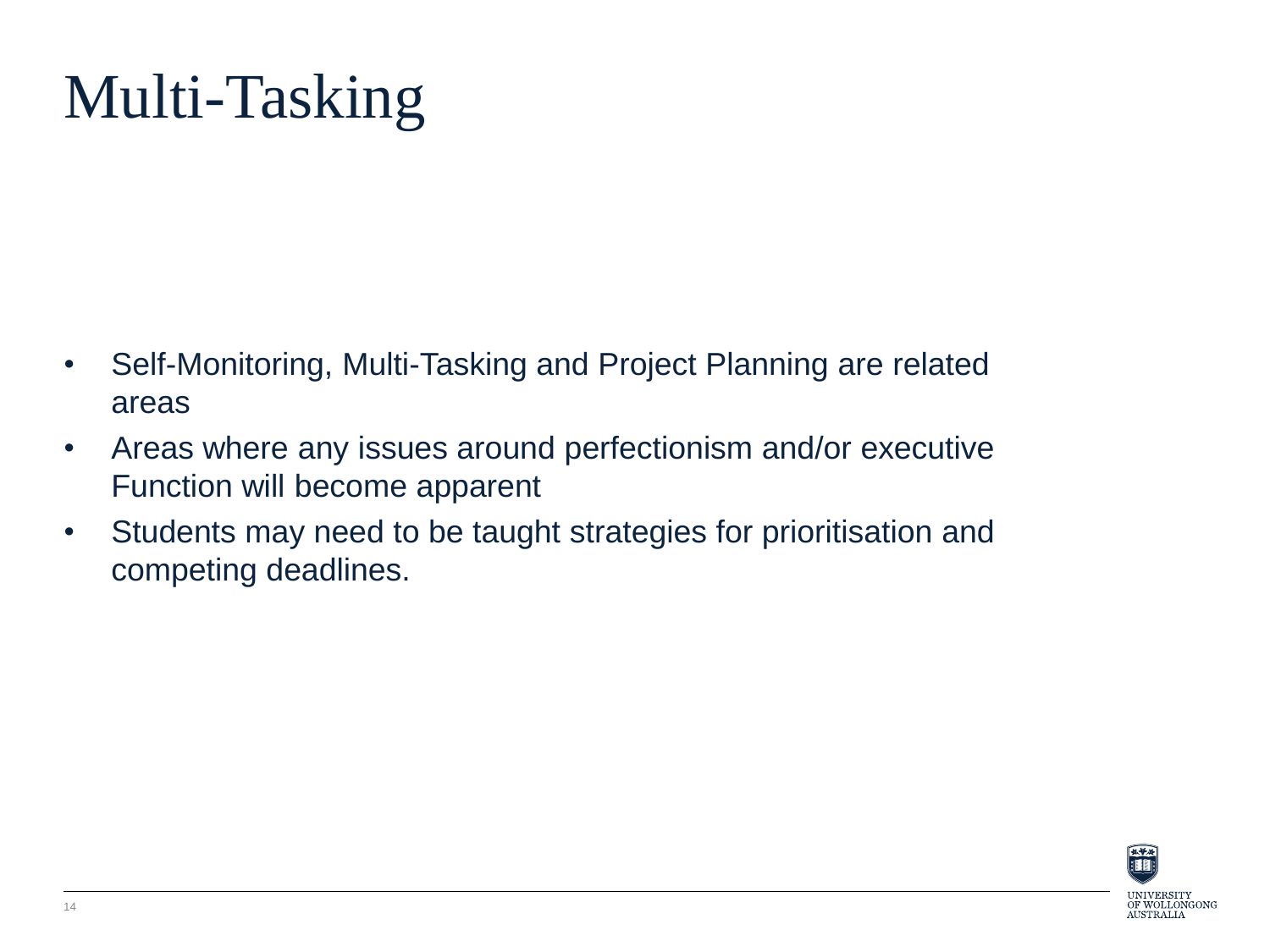## Multi-Tasking

- Self-Monitoring, Multi-Tasking and Project Planning are related areas
- Areas where any issues around perfectionism and/or executive Function will become apparent
- Students may need to be taught strategies for prioritisation and competing deadlines.

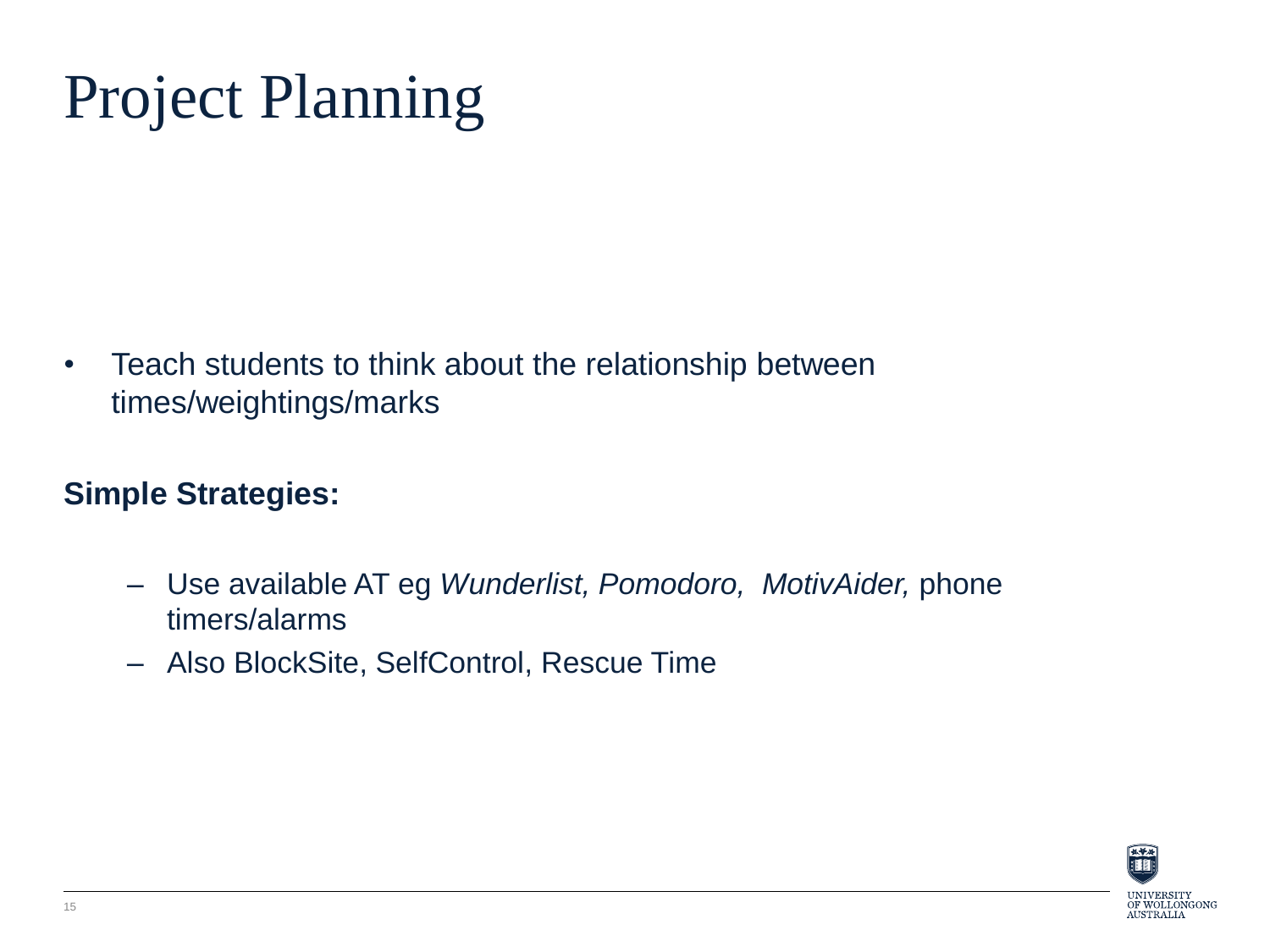## Project Planning

• Teach students to think about the relationship between times/weightings/marks

### **Simple Strategies:**

- Use available AT eg *Wunderlist, Pomodoro, MotivAider,* phone timers/alarms
- Also BlockSite, SelfControl, Rescue Time

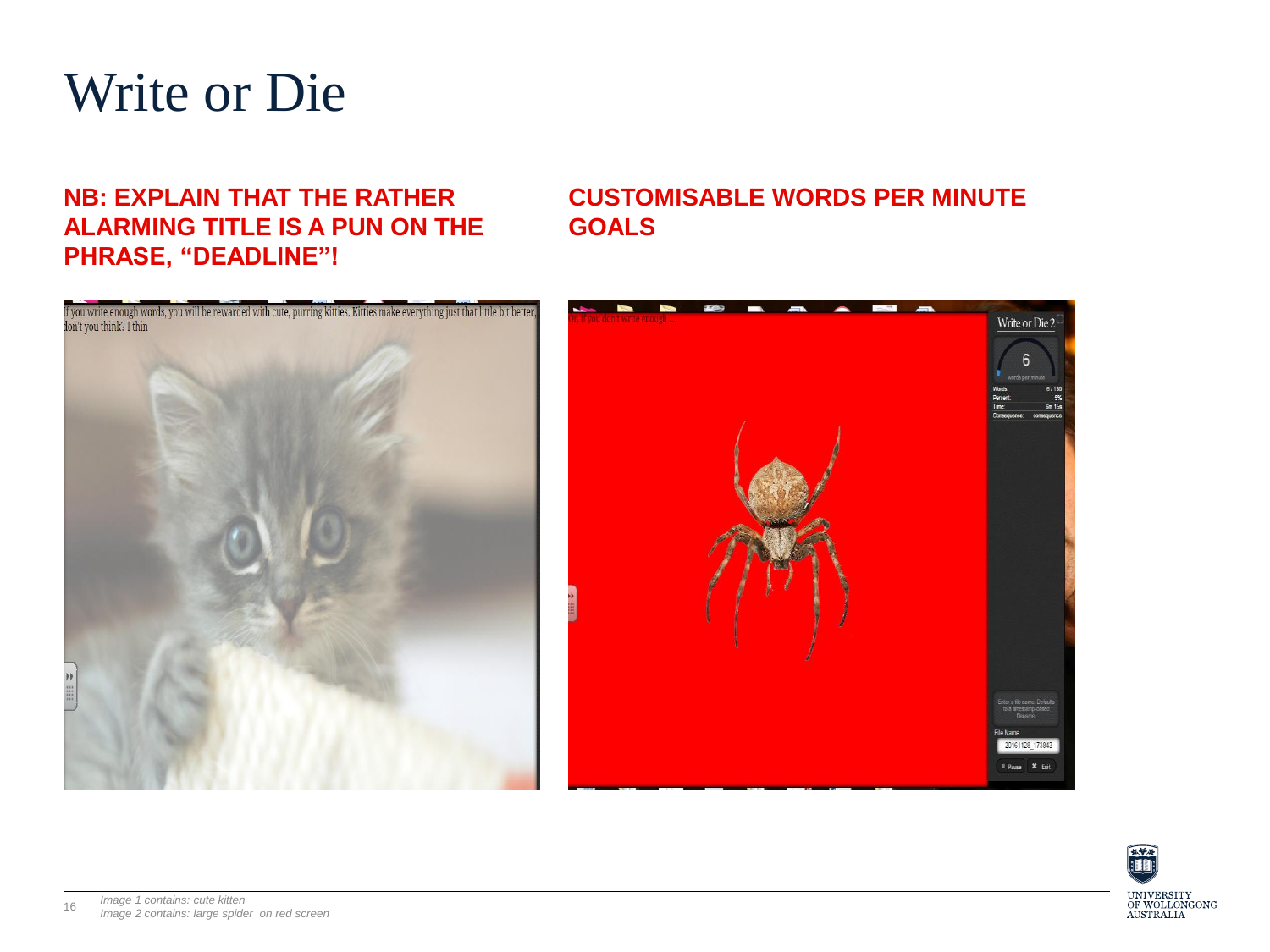

#### **NB: EXPLAIN THAT THE RATHER ALARMING TITLE IS A PUN ON THE PHRASE, "DEADLINE"!**

#### **CUSTOMISABLE WORDS PER MINUTE GOALS**





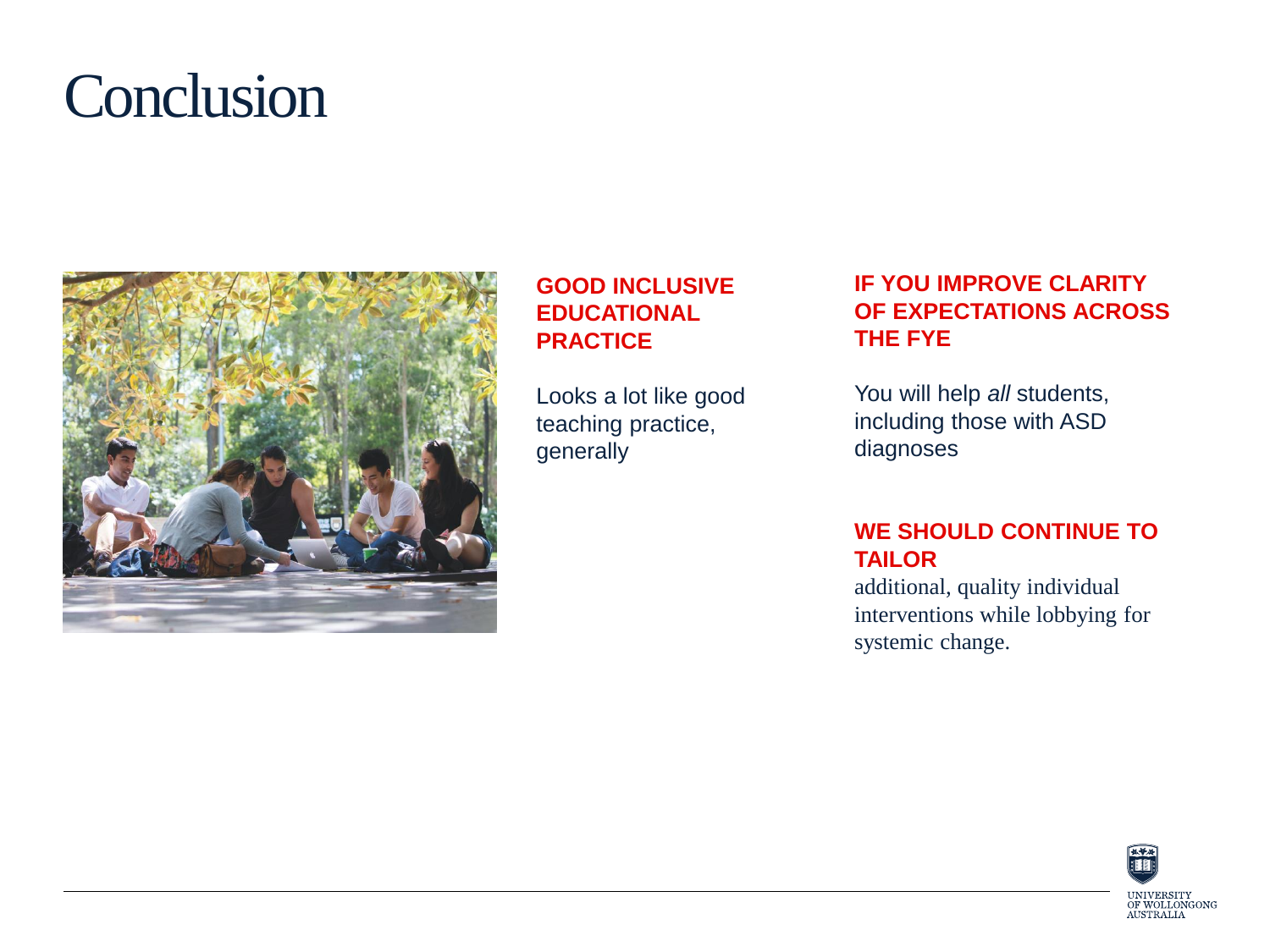### **Conclusion**



#### **GOOD INCLUSIVE EDUCATIONAL PRACTICE**

Looks a lot like good teaching practice, generally

#### **IF YOU IMPROVE CLARITY OF EXPECTATIONS ACROSS THE FYE**

You will help *all* students, including those with ASD diagnoses

#### **WE SHOULD CONTINUE TO TAILOR**

additional, quality individual interventions while lobbying for systemic change.

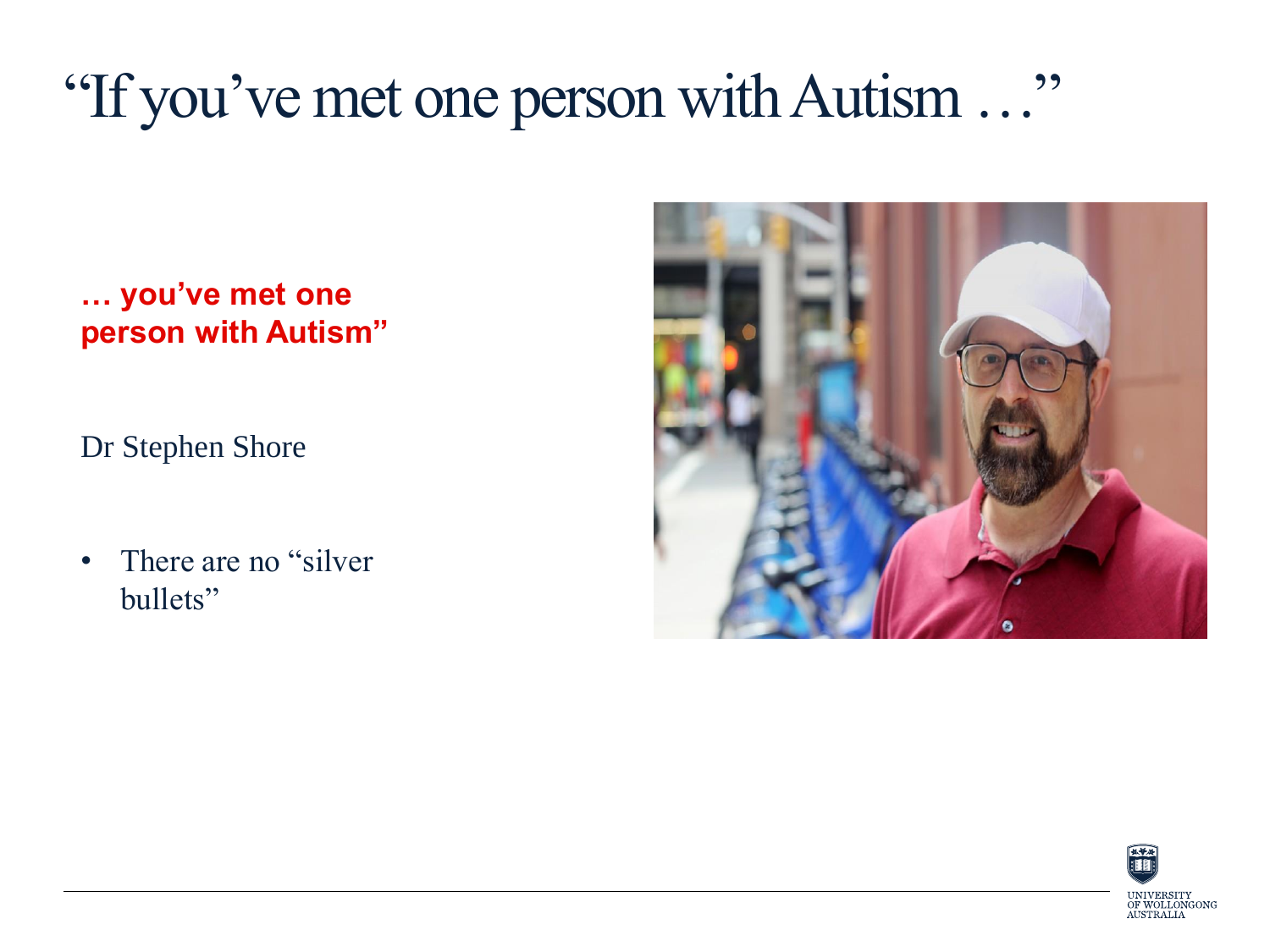### "If you've met one person with Autism …"

**… you've met one person with Autism"**

Dr Stephen Shore

• There are no "silver" bullets"



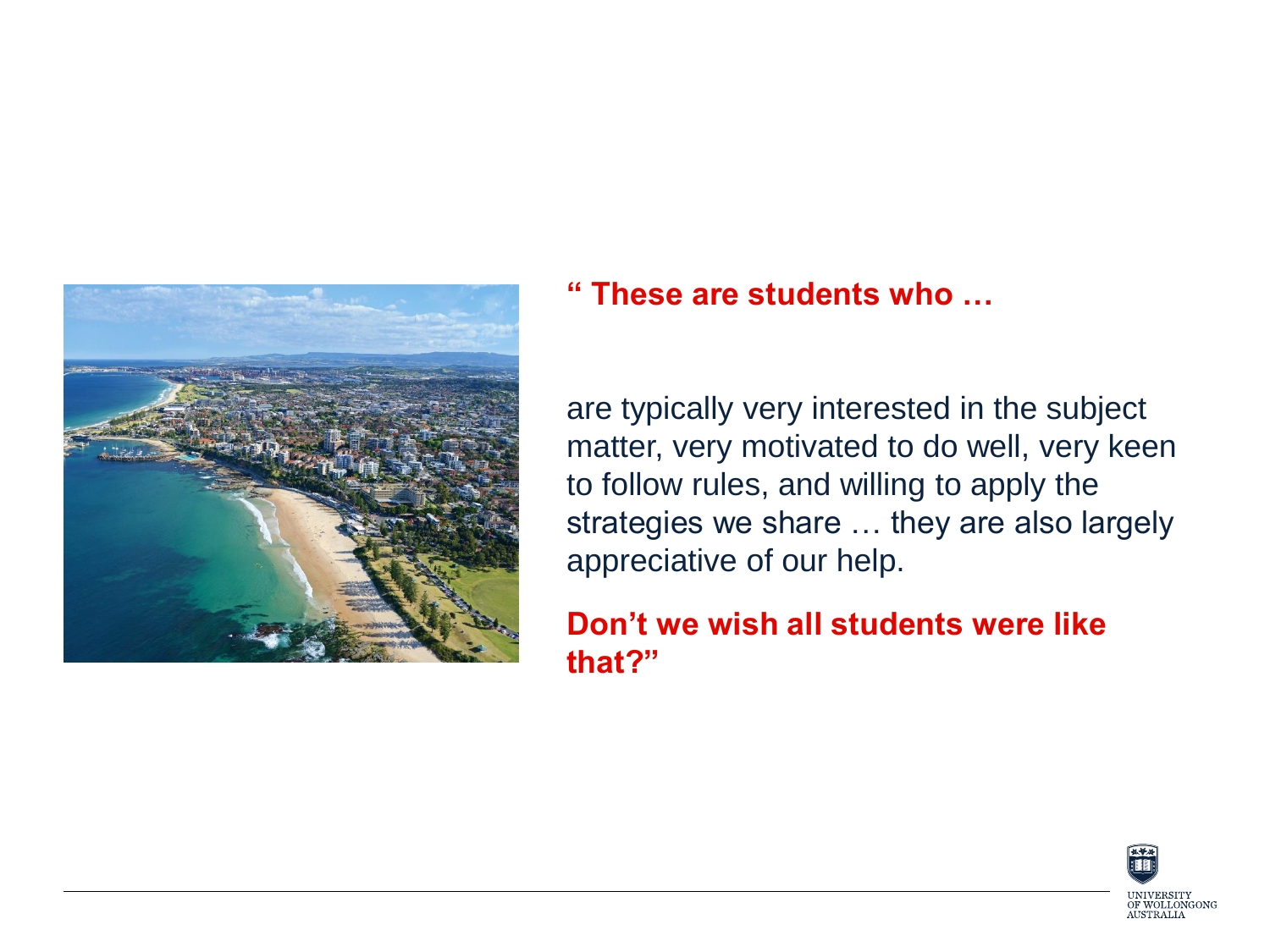

#### **" These are students who …**

are typically very interested in the subject matter, very motivated to do well, very keen to follow rules, and willing to apply the strategies we share … they are also largely appreciative of our help.

### **Don't we wish all students were like that?"**

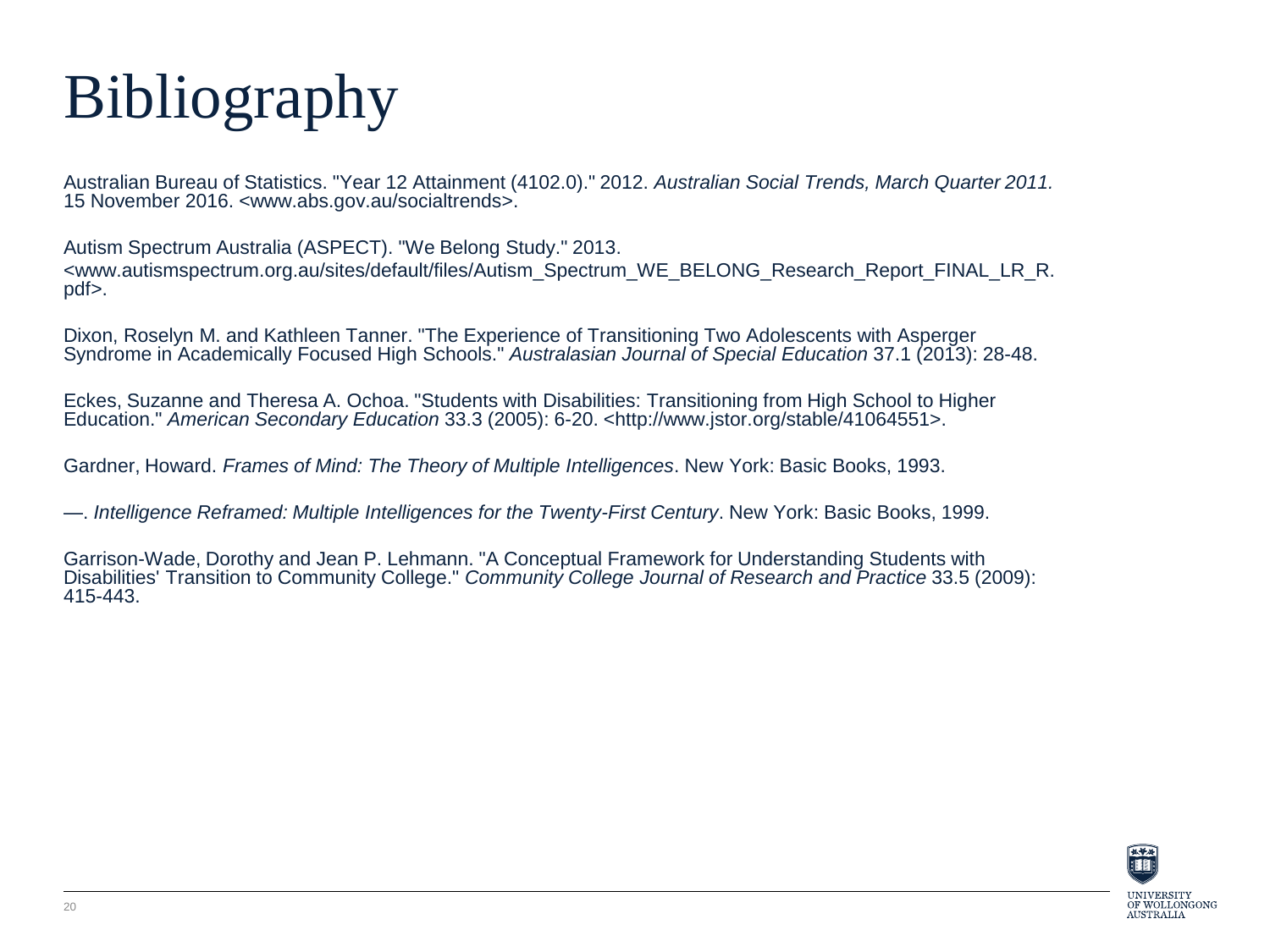# Bibliography

Australian Bureau of Statistics. "Year 12 Attainment (4102.0)." 2012. *Australian Social Trends, March Quarter 2011.* 15 November 2016. <www.abs.gov.au/socialtrends>.

Autism Spectrum Australia (ASPECT). "We Belong Study." 2013. <www.autismspectrum.org.au/sites/default/files/Autism\_Spectrum\_WE\_BELONG\_Research\_Report\_FINAL\_LR\_R. pdf>.

Dixon, Roselyn M. and Kathleen Tanner. "The Experience of Transitioning Two Adolescents with Asperger Syndrome in Academically Focused High Schools." *Australasian Journal of Special Education* 37.1 (2013): 28-48.

Eckes, Suzanne and Theresa A. Ochoa. "Students with Disabilities: Transitioning from High School to Higher Education." *American Secondary Education* 33.3 (2005): 6-20. <http://www.jstor.org/stable/41064551>.

Gardner, Howard. *Frames of Mind: The Theory of Multiple Intelligences*. New York: Basic Books, 1993.

—. *Intelligence Reframed: Multiple Intelligences for the Twenty-First Century*. New York: Basic Books, 1999.

Garrison-Wade, Dorothy and Jean P. Lehmann. "A Conceptual Framework for Understanding Students with Disabilities' Transition to Community College." *Community College Journal of Research and Practice* 33.5 (2009): 415-443.

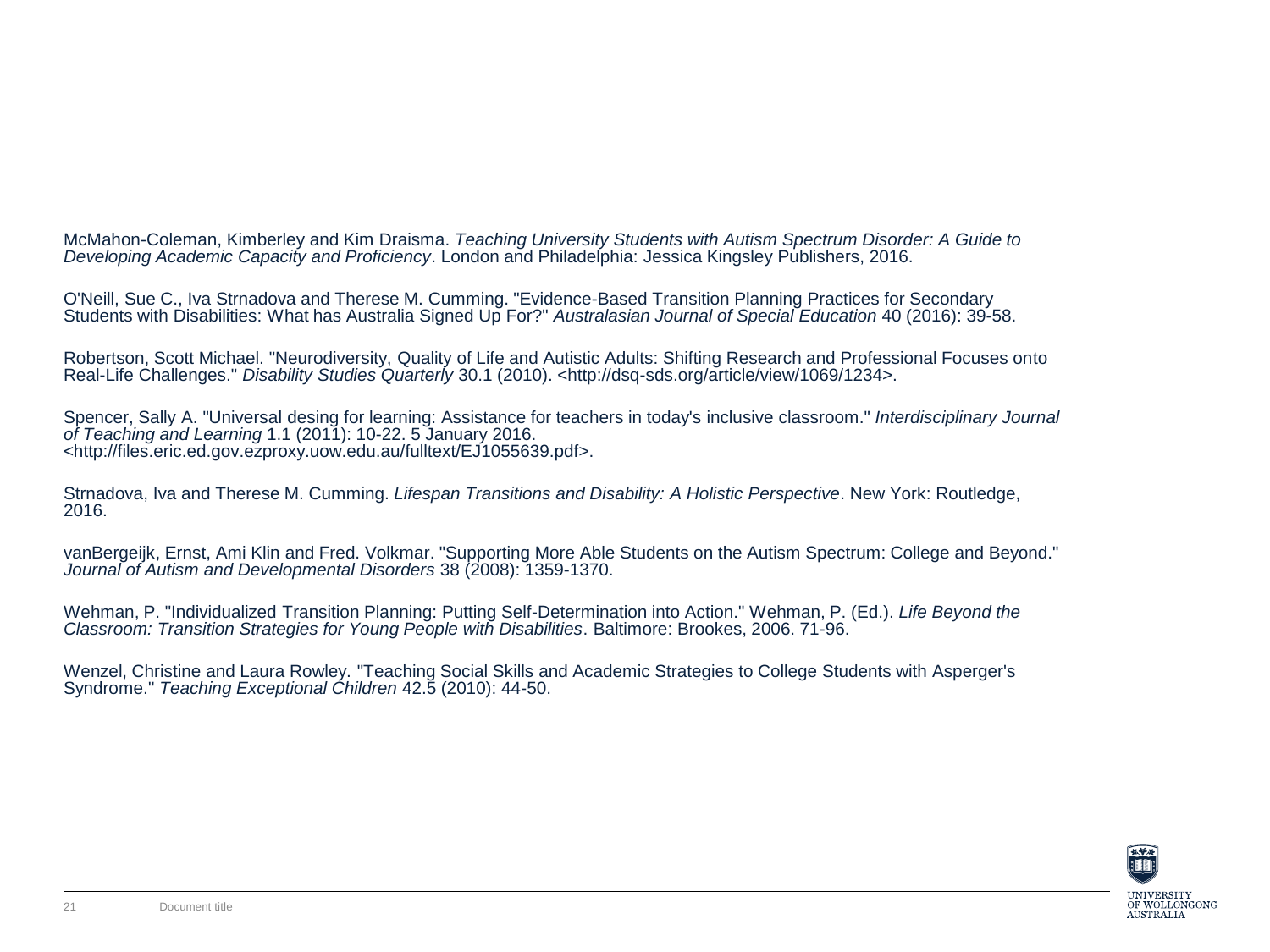McMahon-Coleman, Kimberley and Kim Draisma. *Teaching University Students with Autism Spectrum Disorder: A Guide to Developing Academic Capacity and Proficiency*. London and Philadelphia: Jessica Kingsley Publishers, 2016.

O'Neill, Sue C., Iva Strnadova and Therese M. Cumming. "Evidence-Based Transition Planning Practices for Secondary Students with Disabilities: What has Australia Signed Up For?" *Australasian Journal of Special Education* 40 (2016): 39-58.

Robertson, Scott Michael. "Neurodiversity, Quality of Life and Autistic Adults: Shifting Research and Professional Focuses onto Real-Life Challenges." *Disability Studies Quarterly* 30.1 (2010). <http://dsq-sds.org/article/view/1069/1234>.

Spencer, Sally A. "Universal desing for learning: Assistance for teachers in today's inclusive classroom." *Interdisciplinary Journal of Teaching and Learning* 1.1 (2011): 10-22. 5 January 2016. <http://files.eric.ed.gov.ezproxy.uow.edu.au/fulltext/EJ1055639.pdf>.

Strnadova, Iva and Therese M. Cumming. *Lifespan Transitions and Disability: A Holistic Perspective*. New York: Routledge, 2016.

vanBergeijk, Ernst, Ami Klin and Fred. Volkmar. "Supporting More Able Students on the Autism Spectrum: College and Beyond." *Journal of Autism and Developmental Disorders* 38 (2008): 1359-1370.

Wehman, P. "Individualized Transition Planning: Putting Self-Determination into Action." Wehman, P. (Ed.). *Life Beyond the Classroom: Transition Strategies for Young People with Disabilities*. Baltimore: Brookes, 2006. 71-96.

Wenzel, Christine and Laura Rowley. "Teaching Social Skills and Academic Strategies to College Students with Asperger's Syndrome." *Teaching Exceptional Children* 42.5 (2010): 44-50.